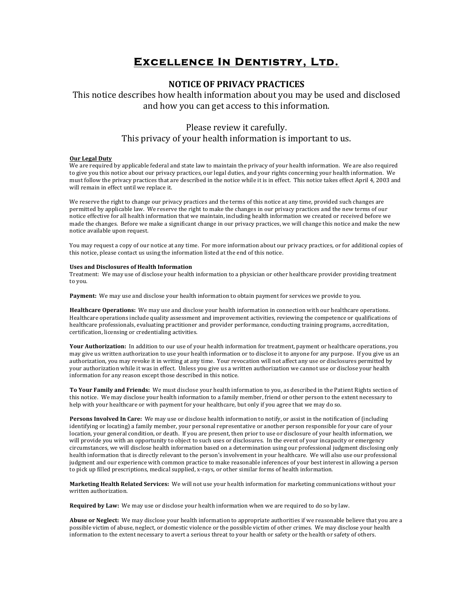# **Excellence In Dentistry, Ltd.**

### **NOTICE OF PRIVACY PRACTICES**

This notice describes how health information about you may be used and disclosed and how you can get access to this information.

## Please review it carefully. This privacy of your health information is important to us.

#### **Our Legal Duty**

We are required by applicable federal and state law to maintain the privacy of your health information. We are also required to give you this notice about our privacy practices, our legal duties, and your rights concerning your health information. We must follow the privacy practices that are described in the notice while it is in effect. This notice takes effect April 4, 2003 and will remain in effect until we replace it.

We reserve the right to change our privacy practices and the terms of this notice at any time, provided such changes are permitted by applicable law. We reserve the right to make the changes in our privacy practices and the new terms of our notice effective for all health information that we maintain, including health information we created or received before we made the changes. Before we make a significant change in our privacy practices, we will change this notice and make the new notice available upon request.

You may request a copy of our notice at any time. For more information about our privacy practices, or for additional copies of this notice, please contact us using the information listed at the end of this notice.

#### **Uses and Disclosures of Health Information**

Treatment: We may use of disclose your health information to a physician or other healthcare provider providing treatment to you.

**Payment:** We may use and disclose your health information to obtain payment for services we provide to you.

Healthcare Operations: We may use and disclose your health information in connection with our healthcare operations. Healthcare operations include quality assessment and improvement activities, reviewing the competence or qualifications of healthcare professionals, evaluating practitioner and provider performance, conducting training programs, accreditation, certification, licensing or credentialing activities.

Your Authorization: In addition to our use of your health information for treatment, payment or healthcare operations, you may give us written authorization to use your health information or to disclose it to anyone for any purpose. If you give us an authorization, you may revoke it in writing at any time. Your revocation will not affect any use or disclosures permitted by your authorization while it was in effect. Unless you give us a written authorization we cannot use or disclose your health information for any reason except those described in this notice.

To Your Family and Friends: We must disclose your health information to you, as described in the Patient Rights section of this notice. We may disclose your health information to a family member, friend or other person to the extent necessary to help with your healthcare or with payment for your healthcare, but only if you agree that we may do so.

**Persons Involved In Care:** We may use or disclose health information to notify, or assist in the notification of (including identifying or locating) a family member, your personal representative or another person responsible for your care of your location, your general condition, or death. If you are present, then prior to use or disclosure of your health information, we will provide you with an opportunity to object to such uses or disclosures. In the event of your incapacity or emergency circumstances, we will disclose health information based on a determination using our professional judgment disclosing only health information that is directly relevant to the person's involvement in your healthcare. We will also use our professional judgment and our experience with common practice to make reasonable inferences of your best interest in allowing a person to pick up filled prescriptions, medical supplied, x-rays, or other similar forms of health information.

Marketing Health Related Services: We will not use your health information for marketing communications without your written authorization.

**Required by Law:** We may use or disclose your health information when we are required to do so by law.

Abuse or Neglect: We may disclose your health information to appropriate authorities if we reasonable believe that you are a possible victim of abuse, neglect, or domestic violence or the possible victim of other crimes. We may disclose your health information to the extent necessary to avert a serious threat to your health or safety or the health or safety of others.